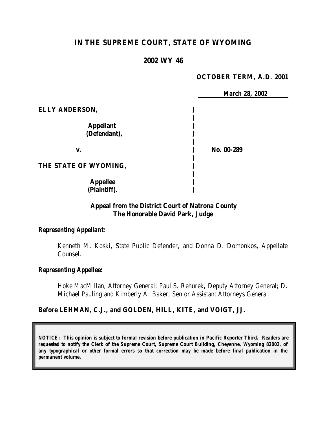# **IN THE SUPREME COURT, STATE OF WYOMING**

#### **2002 WY 46**

#### **OCTOBER TERM, A.D. 2001**

|                       | <b>March 28, 2002</b> |  |
|-----------------------|-----------------------|--|
| <b>ELLY ANDERSON,</b> |                       |  |
|                       |                       |  |
| <b>Appellant</b>      |                       |  |
| (Defendant),          |                       |  |
| V.                    | No. 00-289            |  |
| THE STATE OF WYOMING, |                       |  |
| <b>Appellee</b>       |                       |  |
| (Plaintiff).          |                       |  |

## **Appeal from the District Court of Natrona County The Honorable David Park, Judge**

## *Representing Appellant:*

Kenneth M. Koski, State Public Defender, and Donna D. Domonkos, Appellate Counsel.

#### *Representing Appellee:*

Hoke MacMillan, Attorney General; Paul S. Rehurek, Deputy Attorney General; D. Michael Pauling and Kimberly A. Baker, Senior Assistant Attorneys General.

#### **Before LEHMAN, C.J., and GOLDEN, HILL, KITE, and VOIGT, JJ.**

*NOTICE: This opinion is subject to formal revision before publication in Pacific Reporter Third. Readers are requested to notify the Clerk of the Supreme Court, Supreme Court Building, Cheyenne, Wyoming 82002, of any typographical or other formal errors so that correction may be made before final publication in the permanent volume.*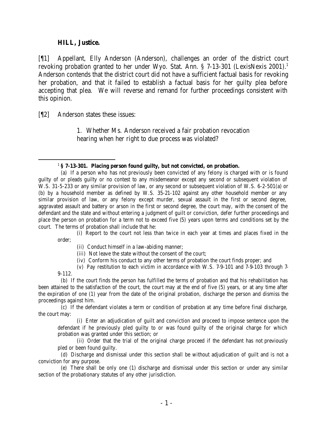#### **HILL, Justice.**

[¶1] Appellant, Elly Anderson (Anderson), challenges an order of the district court revoking probation granted to her under Wyo. Stat. Ann. § 7-13-301 (LexisNexis 2001).<sup>1</sup> Anderson contends that the district court did not have a sufficient factual basis for revoking her probation, and that it failed to establish a factual basis for her guilty plea before accepting that plea. We will reverse and remand for further proceedings consistent with this opinion.

[¶2] Anderson states these issues:

1. Whether Ms. Anderson received a fair probation revocation hearing when her right to due process was violated?

(i) Report to the court not less than twice in each year at times and places fixed in the order;

(ii) Conduct himself in a law-abiding manner;

- (iii) Not leave the state without the consent of the court;
- (iv) Conform his conduct to any other terms of probation the court finds proper; and

(v) Pay restitution to each victim in accordance with W.S. 7-9-101 and 7-9-103 through 7- 9-112.

 (b) If the court finds the person has fulfilled the terms of probation and that his rehabilitation has been attained to the satisfaction of the court, the court may at the end of five (5) years, or at any time after the expiration of one (1) year from the date of the original probation, discharge the person and dismiss the proceedings against him.

 (c) If the defendant violates a term or condition of probation at any time before final discharge, the court may:

(i) Enter an adjudication of guilt and conviction and proceed to impose sentence upon the defendant if he previously pled guilty to or was found guilty of the original charge for which probation was granted under this section; or

(ii) Order that the trial of the original charge proceed if the defendant has not previously pled or been found guilty.

 (d) Discharge and dismissal under this section shall be without adjudication of guilt and is not a conviction for any purpose.

 (e) There shall be only one (1) discharge and dismissal under this section or under any similar section of the probationary statutes of any other jurisdiction.

<sup>1</sup> **§ 7-13-301. Placing person found guilty, but not convicted, on probation.**

 <sup>(</sup>a) If a person who has not previously been convicted of any felony is charged with or is found guilty of or pleads guilty or no contest to any misdemeanor except any second or subsequent violation of W.S. 31-5-233 or any similar provision of law, or any second or subsequent violation of W.S. 6-2-501(a) or (b) by a household member as defined by W.S. 35-21-102 against any other household member or any similar provision of law, or any felony except murder, sexual assault in the first or second degree, aggravated assault and battery or arson in the first or second degree, the court may, with the consent of the defendant and the state and without entering a judgment of guilt or conviction, defer further proceedings and place the person on probation for a term not to exceed five (5) years upon terms and conditions set by the court. The terms of probation shall include that he: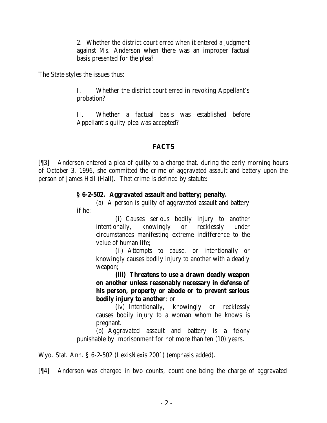2. Whether the district court erred when it entered a judgment against Ms. Anderson when there was an improper factual basis presented for the plea?

The State styles the issues thus:

I. Whether the district court erred in revoking Appellant's probation?

II. Whether a factual basis was established before Appellant's guilty plea was accepted?

## **FACTS**

[¶3] Anderson entered a plea of guilty to a charge that, during the early morning hours of October 3, 1996, she committed the crime of aggravated assault and battery upon the person of James Hall (Hall). That crime is defined by statute:

### **§ 6-2-502. Aggravated assault and battery; penalty.**

(a) A person is guilty of aggravated assault and battery if he:

> (i) Causes serious bodily injury to another intentionally, knowingly or recklessly under circumstances manifesting extreme indifference to the value of human life;

> (ii) Attempts to cause, or intentionally or knowingly causes bodily injury to another with a deadly weapon;

> **(iii) Threatens to use a drawn deadly weapon on another unless reasonably necessary in defense of his person, property or abode or to prevent serious bodily injury to another**; or

> (iv) Intentionally, knowingly or recklessly causes bodily injury to a woman whom he knows is pregnant.

(b) Aggravated assault and battery is a felony punishable by imprisonment for not more than ten (10) years.

Wyo. Stat. Ann. § 6-2-502 (LexisNexis 2001) (emphasis added).

[¶4] Anderson was charged in two counts, count one being the charge of aggravated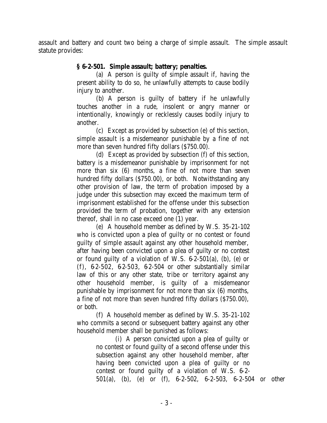assault and battery and count two being a charge of simple assault. The simple assault statute provides:

## **§ 6-2-501. Simple assault; battery; penalties.**

(a) A person is guilty of simple assault if, having the present ability to do so, he unlawfully attempts to cause bodily injury to another.

(b) A person is guilty of battery if he unlawfully touches another in a rude, insolent or angry manner or intentionally, knowingly or recklessly causes bodily injury to another.

(c) Except as provided by subsection (e) of this section, simple assault is a misdemeanor punishable by a fine of not more than seven hundred fifty dollars (\$750.00).

(d) Except as provided by subsection (f) of this section, battery is a misdemeanor punishable by imprisonment for not more than six (6) months, a fine of not more than seven hundred fifty dollars (\$750.00), or both. Notwithstanding any other provision of law, the term of probation imposed by a judge under this subsection may exceed the maximum term of imprisonment established for the offense under this subsection provided the term of probation, together with any extension thereof, shall in no case exceed one (1) year.

(e) A household member as defined by W.S. 35-21-102 who is convicted upon a plea of guilty or no contest or found guilty of simple assault against any other household member, after having been convicted upon a plea of guilty or no contest or found guilty of a violation of W.S. 6-2-501(a), (b), (e) or  $(f)$ , 62-502, 62-503, 62-504 or other substantially similar law of this or any other state, tribe or territory against any other household member, is guilty of a misdemeanor punishable by imprisonment for not more than six (6) months, a fine of not more than seven hundred fifty dollars (\$750.00), or both.

(f) A household member as defined by W.S. 35-21-102 who commits a second or subsequent battery against any other household member shall be punished as follows:

> (i) A person convicted upon a plea of guilty or no contest or found guilty of a second offense under this subsection against any other household member, after having been convicted upon a plea of guilty or no contest or found guilty of a violation of W.S. 6-2- 501(a), (b), (e) or (f), 6-2-502, 6-2-503, 6-2-504 or other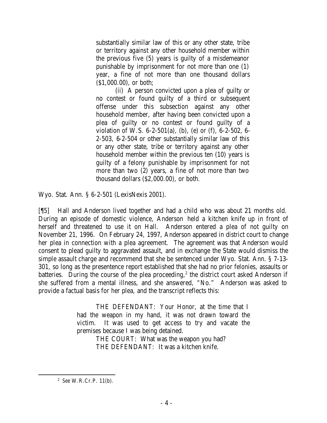substantially similar law of this or any other state, tribe or territory against any other household member within the previous five (5) years is guilty of a misdemeanor punishable by imprisonment for not more than one (1) year, a fine of not more than one thousand dollars (\$1,000.00), or both;

(ii) A person convicted upon a plea of guilty or no contest or found guilty of a third or subsequent offense under this subsection against any other household member, after having been convicted upon a plea of guilty or no contest or found guilty of a violation of W.S. 6-2-501(a), (b), (e) or (f), 6-2-502, 6- 2-503, 6-2-504 or other substantially similar law of this or any other state, tribe or territory against any other household member within the previous ten (10) years is guilty of a felony punishable by imprisonment for not more than two (2) years, a fine of not more than two thousand dollars (\$2,000.00), or both.

Wyo. Stat. Ann. § 6-2-501 (LexisNexis 2001).

[¶5] Hall and Anderson lived together and had a child who was about 21 months old. During an episode of domestic violence, Anderson held a kitchen knife up in front of herself and threatened to use it on Hall. Anderson entered a plea of not guilty on November 21, 1996. On February 24, 1997, Anderson appeared in district court to change her plea in connection with a plea agreement. The agreement was that Anderson would consent to plead guilty to aggravated assault, and in exchange the State would dismiss the simple assault charge and recommend that she be sentenced under Wyo. Stat. Ann. § 7-13- 301, so long as the presentence report established that she had no prior felonies, assaults or batteries. During the course of the plea proceeding,<sup>2</sup> the district court asked Anderson if she suffered from a mental illness, and she answered, "No." Anderson was asked to provide a factual basis for her plea, and the transcript reflects this:

> THE DEFENDANT: Your Honor, at the time that I had the weapon in my hand, it was not drawn toward the victim. It was used to get access to try and vacate the premises because I was being detained.

THE COURT: What was the weapon you had? THE DEFENDANT: It was a kitchen knife.

<sup>2</sup> *See* W.R.Cr.P. 11(b).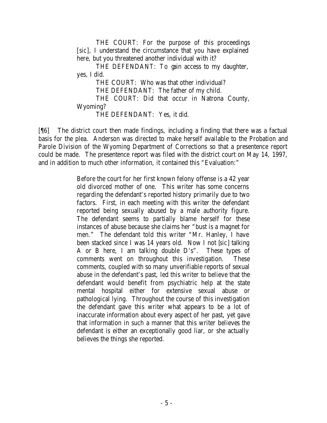THE COURT: For the purpose of this proceedings [*sic*], I understand the circumstance that you have explained here, but you threatened another individual with it?

THE DEFENDANT: To gain access to my daughter, yes, I did.

THE COURT: Who was that other individual? THE DEFENDANT: The father of my child. THE COURT: Did that occur in Natrona County, Wyoming? THE DEFENDANT: Yes, it did.

[¶6] The district court then made findings, including a finding that there was a factual basis for the plea. Anderson was directed to make herself available to the Probation and Parole Division of the Wyoming Department of Corrections so that a presentence report could be made. The presentence report was filed with the district court on May 14, 1997, and in addition to much other information, it contained this "Evaluation:"

> Before the court for her first known felony offense is a 42 year old divorced mother of one. This writer has some concerns regarding the defendant's reported history primarily due to two factors. First, in each meeting with this writer the defendant reported being sexually abused by a male authority figure. The defendant seems to partially blame herself for these instances of abuse because she claims her "bust is a magnet for men." The defendant told this writer "Mr. Hanley, I have been stacked since I was 14 years old. Now I not [*sic*] talking A or B here, I am talking double D's". These types of comments went on throughout this investigation. These comments, coupled with so many unverifiable reports of sexual abuse in the defendant's past, led this writer to believe that the defendant would benefit from psychiatric help at the state mental hospital either for extensive sexual abuse or pathological lying. Throughout the course of this investigation the defendant gave this writer what appears to be a lot of inaccurate information about every aspect of her past, yet gave that information in such a manner that this writer believes the defendant is either an exceptionally good liar, or she actually believes the things she reported.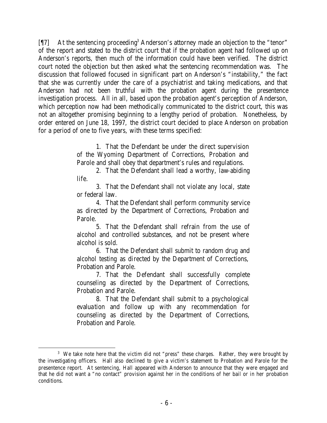[17] At the sentencing proceeding<sup>3</sup> Anderson's attorney made an objection to the "tenor" of the report and stated to the district court that if the probation agent had followed up on Anderson's reports, then much of the information could have been verified. The district court noted the objection but then asked what the sentencing recommendation was. The discussion that followed focused in significant part on Anderson's "instability," the fact that she was currently under the care of a psychiatrist and taking medications, and that Anderson had not been truthful with the probation agent during the presentence investigation process. All in all, based upon the probation agent's perception of Anderson, which perception now had been methodically communicated to the district court, this was not an altogether promising beginning to a lengthy period of probation. Nonetheless, by order entered on June 18, 1997, the district court decided to place Anderson on probation for a period of one to five years, with these terms specified:

> 1. That the Defendant be under the direct supervision of the Wyoming Department of Corrections, Probation and Parole and shall obey that department's rules and regulations.

> 2. That the Defendant shall lead a worthy, law-abiding life.

> 3. That the Defendant shall not violate any local, state or federal law.

> 4. That the Defendant shall perform community service as directed by the Department of Corrections, Probation and Parole.

> 5. That the Defendant shall refrain from the use of alcohol and controlled substances, and not be present where alcohol is sold.

> 6. That the Defendant shall submit to random drug and alcohol testing as directed by the Department of Corrections, Probation and Parole.

> 7. That the Defendant shall successfully complete counseling as directed by the Department of Corrections, Probation and Parole.

> 8. That the Defendant shall submit to a psychological evaluation and follow up with any recommendation for counseling as directed by the Department of Corrections, Probation and Parole.

<sup>&</sup>lt;sup>3</sup> We take note here that the victim did not "press" these charges. Rather, they were brought by the investigating officers. Hall also declined to give a victim's statement to Probation and Parole for the presentence report. At sentencing, Hall appeared with Anderson to announce that they were engaged and that he did not want a "no contact" provision against her in the conditions of her bail or in her probation conditions.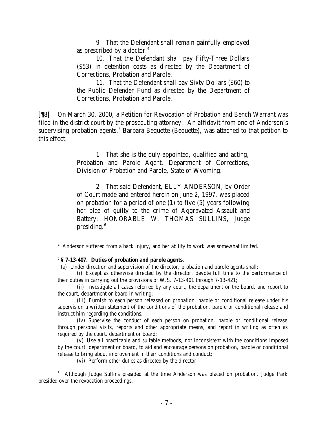9. That the Defendant shall remain gainfully employed as prescribed by a doctor.<sup>4</sup>

10. That the Defendant shall pay Fifty-Three Dollars (\$53) in detention costs as directed by the Department of Corrections, Probation and Parole.

11. That the Defendant shall pay Sixty Dollars (\$60) to the Public Defender Fund as directed by the Department of Corrections, Probation and Parole.

[¶8] On March 30, 2000, a Petition for Revocation of Probation and Bench Warrant was filed in the district court by the prosecuting attorney. An affidavit from one of Anderson's supervising probation agents,<sup>5</sup> Barbara Bequette (Bequette), was attached to that petition to this effect:

> 1. That she is the duly appointed, qualified and acting, Probation and Parole Agent, Department of Corrections, Division of Probation and Parole, State of Wyoming.

> 2. That said Defendant, ELLY ANDERSON, by Order of Court made and entered herein on June 2, 1997, was placed on probation for a period of one (1) to five (5) years following her plea of guilty to the crime of Aggravated Assault and Battery; HONORABLE W. THOMAS SULLINS, Judge presiding. $6$

(ii) Investigate all cases referred by any court, the department or the board, and report to the court, department or board in writing;

(iii) Furnish to each person released on probation, parole or conditional release under his supervision a written statement of the conditions of the probation, parole or conditional release and instruct him regarding the conditions;

(iv) Supervise the conduct of each person on probation, parole or conditional release through personal visits, reports and other appropriate means, and report in writing as often as required by the court, department or board;

(v) Use all practicable and suitable methods, not inconsistent with the conditions imposed by the court, department or board, to aid and encourage persons on probation, parole or conditional release to bring about improvement in their conditions and conduct;

(vi) Perform other duties as directed by the director.

<sup>6</sup> Although Judge Sullins presided at the time Anderson was placed on probation, Judge Park presided over the revocation proceedings.

<sup>&</sup>lt;sup>4</sup> Anderson suffered from a back injury, and her ability to work was somewhat limited.

<sup>5</sup> **§ 7-13-407. Duties of probation and parole agents.**

 <sup>(</sup>a) Under direction and supervision of the director, probation and parole agents shall:

<sup>(</sup>i) Except as otherwise directed by the director, devote full time to the performance of their duties in carrying out the provisions of W.S. 7-13-401 through 7-13-421;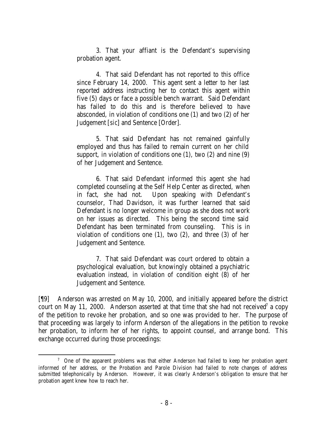3. That your affiant is the Defendant's supervising probation agent.

4. That said Defendant has not reported to this office since February 14, 2000. This agent sent a letter to her last reported address instructing her to contact this agent within five (5) days or face a possible bench warrant. Said Defendant has failed to do this and is therefore believed to have absconded, in violation of conditions one (1) and two (2) of her Judgement [*sic*] and Sentence [Order].

5. That said Defendant has not remained gainfully employed and thus has failed to remain current on her child support, in violation of conditions one (1), two (2) and nine (9) of her Judgement and Sentence.

6. That said Defendant informed this agent she had completed counseling at the Self Help Center as directed, when in fact, she had not. Upon speaking with Defendant's counselor, Thad Davidson, it was further learned that said Defendant is no longer welcome in group as she does not work on her issues as directed. This being the second time said Defendant has been terminated from counseling. This is in violation of conditions one  $(1)$ , two  $(2)$ , and three  $(3)$  of her Judgement and Sentence.

7. That said Defendant was court ordered to obtain a psychological evaluation, but knowingly obtained a psychiatric evaluation instead, in violation of condition eight (8) of her Judgement and Sentence.

[¶9] Anderson was arrested on May 10, 2000, and initially appeared before the district court on May 11, 2000. Anderson asserted at that time that she had not received<sup>7</sup> a copy of the petition to revoke her probation, and so one was provided to her. The purpose of that proceeding was largely to inform Anderson of the allegations in the petition to revoke her probation, to inform her of her rights, to appoint counsel, and arrange bond. This exchange occurred during those proceedings:

 <sup>7</sup> One of the apparent problems was that either Anderson had failed to keep her probation agent informed of her address, or the Probation and Parole Division had failed to note changes of address submitted telephonically by Anderson. However, it was clearly Anderson's obligation to ensure that her probation agent knew how to reach her.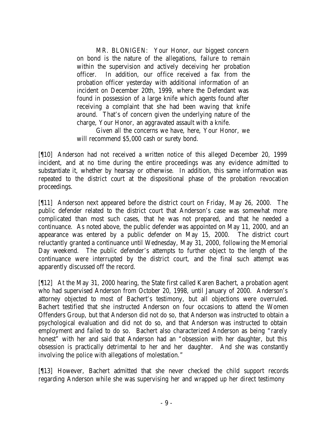MR. BLONIGEN: Your Honor, our biggest concern on bond is the nature of the allegations, failure to remain within the supervision and actively deceiving her probation officer. In addition, our office received a fax from the probation officer yesterday with additional information of an incident on December 20th, 1999, where the Defendant was found in possession of a large knife which agents found after receiving a complaint that she had been waving that knife around. That's of concern given the underlying nature of the charge, Your Honor, an aggravated assault with a knife.

Given all the concerns we have, here, Your Honor, we will recommend \$5,000 cash or surety bond.

[¶10] Anderson had not received a written notice of this alleged December 20, 1999 incident, and at no time during the entire proceedings was any evidence admitted to substantiate it, whether by hearsay or otherwise. In addition, this same information was repeated to the district court at the dispositional phase of the probation revocation proceedings.

[¶11] Anderson next appeared before the district court on Friday, May 26, 2000. The public defender related to the district court that Anderson's case was somewhat more complicated than most such cases, that he was not prepared, and that he needed a continuance. As noted above, the public defender was appointed on May 11, 2000, and an appearance was entered by a public defender on May 15, 2000. The district court reluctantly granted a continuance until Wednesday, May 31, 2000, following the Memorial Day weekend. The public defender's attempts to further object to the length of the continuance were interrupted by the district court, and the final such attempt was apparently discussed off the record.

[¶12] At the May 31, 2000 hearing, the State first called Karen Bachert, a probation agent who had supervised Anderson from October 20, 1998, until January of 2000. Anderson's attorney objected to most of Bachert's testimony, but all objections were overruled. Bachert testified that she instructed Anderson on four occasions to attend the Women Offenders Group, but that Anderson did not do so, that Anderson was instructed to obtain a psychological evaluation and did not do so, and that Anderson was instructed to obtain employment and failed to do so. Bachert also characterized Anderson as being "rarely honest" with her and said that Anderson had an "obsession with her daughter, but this obsession is practically detrimental to her and her daughter. And she was constantly involving the police with allegations of molestation."

[¶13] However, Bachert admitted that she never checked the child support records regarding Anderson while she was supervising her and wrapped up her direct testimony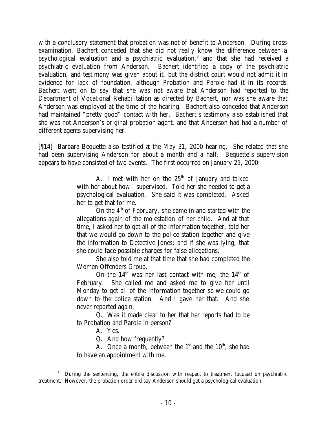with a conclusory statement that probation was not of benefit to Anderson. During crossexamination, Bachert conceded that she did not really know the difference between a psychological evaluation and a psychiatric evaluation,<sup>8</sup> and that she had received a psychiatric evaluation from Anderson. Bachert identified a copy of the psychiatric evaluation, and testimony was given about it, but the district court would not admit it in evidence for lack of foundation, although Probation and Parole had it in its records. Bachert went on to say that she was not aware that Anderson had reported to the Department of Vocational Rehabilitation as directed by Bachert, nor was she aware that Anderson was employed at the time of the hearing. Bachert also conceded that Anderson had maintained "pretty good" contact with her. Bachert's testimony also established that she was not Anderson's original probation agent, and that Anderson had had a number of different agents supervising her.

[¶14] Barbara Bequette also testified at the May 31, 2000 hearing. She related that she had been supervising Anderson for about a month and a half. Bequette's supervision appears to have consisted of two events. The first occurred on January 25, 2000:

> A. I met with her on the  $25<sup>th</sup>$  of January and talked with her about how I supervised. Told her she needed to get a psychological evaluation. She said it was completed. Asked her to get that for me.

> On the  $4<sup>th</sup>$  of February, she came in and started with the allegations again of the molestation of her child. And at that time, I asked her to get all of the information together, told her that we would go down to the police station together and give the information to Detective Jones; and if she was lying, that she could face possible charges for false allegations.

> She also told me at that time that she had completed the Women Offenders Group.

> On the  $14<sup>th</sup>$  was her last contact with me, the  $14<sup>th</sup>$  of February. She called me and asked me to give her until Monday to get all of the information together so we could go down to the police station. And I gave her that. And she never reported again.

> Q. Was it made clear to her that her reports had to be to Probation and Parole in person?

A. Yes.

Q. And how frequently?

A. Once a month, between the  $1<sup>st</sup>$  and the  $10<sup>th</sup>$ , she had to have an appointment with me.

<sup>&</sup>lt;sup>8</sup> During the sentencing, the entire discussion with respect to treatment focused on psychiatric treatment. However, the probation order did say Anderson should get a psychological evaluation.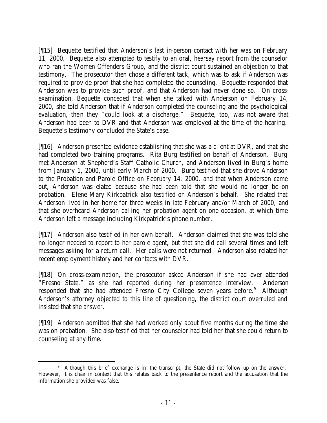[¶15] Bequette testified that Anderson's last in-person contact with her was on February 11, 2000. Bequette also attempted to testify to an oral, hearsay report from the counselor who ran the Women Offenders Group, and the district court sustained an objection to that testimony. The prosecutor then chose a different tack, which was to ask if Anderson was required to provide proof that she had completed the counseling. Bequette responded that Anderson was to provide such proof, and that Anderson had never done so. On crossexamination, Bequette conceded that when she talked with Anderson on February 14, 2000, she told Anderson that if Anderson completed the counseling and the psychological evaluation, then they "could look at a discharge." Bequette, too, was not aware that Anderson had been to DVR and that Anderson was employed at the time of the hearing. Bequette's testimony concluded the State's case.

[¶16] Anderson presented evidence establishing that she was a client at DVR, and that she had completed two training programs. Rita Burg testified on behalf of Anderson. Burg met Anderson at Shepherd's Staff Catholic Church, and Anderson lived in Burg's home from January 1, 2000, until early March of 2000. Burg testified that she drove Anderson to the Probation and Parole Office on February 14, 2000, and that when Anderson came out, Anderson was elated because she had been told that she would no longer be on probation. Elene Mary Kirkpatrick also testified on Anderson's behalf. She related that Anderson lived in her home for three weeks in late February and/or March of 2000, and that she overheard Anderson calling her probation agent on one occasion, at which time Anderson left a message including Kirkpatrick's phone number.

[¶17] Anderson also testified in her own behalf. Anderson claimed that she was told she no longer needed to report to her parole agent, but that she did call several times and left messages asking for a return call. Her calls were not returned. Anderson also related her recent employment history and her contacts with DVR.

[¶18] On cross-examination, the prosecutor asked Anderson if she had ever attended "Fresno State," as she had reported during her presentence interview. Anderson responded that she had attended Fresno City College seven years before.<sup>9</sup> Although Anderson's attorney objected to this line of questioning, the district court overruled and insisted that she answer.

[¶19] Anderson admitted that she had worked only about five months during the time she was on probation. She also testified that her counselor had told her that she could return to counseling at any time.

 <sup>9</sup> Although this brief exchange is in the transcript, the State did not follow up on the answer. However, it is clear in context that this relates back to the presentence report and the accusation that the information she provided was false.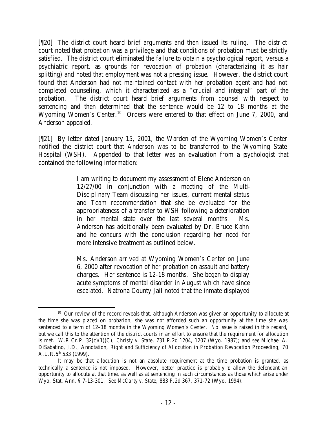[¶20] The district court heard brief arguments and then issued its ruling. The district court noted that probation was a privilege and that conditions of probation must be strictly satisfied. The district court eliminated the failure to obtain a psychological report, versus a psychiatric report, as grounds for revocation of probation (characterizing it as hair splitting) and noted that employment was not a pressing issue. However, the district court found that Anderson had not maintained contact with her probation agent and had not completed counseling, which it characterized as a "crucial and integral" part of the probation. The district court heard brief arguments from counsel with respect to sentencing and then determined that the sentence would be 12 to 18 months at the Wyoming Women's Center.<sup>10</sup> Orders were entered to that effect on June 7, 2000, and Anderson appealed.

[¶21] By letter dated January 15, 2001, the Warden of the Wyoming Women's Center notified the district court that Anderson was to be transferred to the Wyoming State Hospital (WSH). Appended to that letter was an evaluation from a psychologist that contained the following information:

> I am writing to document my assessment of Elene Anderson on 12/27/00 in conjunction with a meeting of the Multi-Disciplinary Team discussing her issues, current mental status and Team recommendation that she be evaluated for the appropriateness of a transfer to WSH following a deterioration in her mental state over the last several months. Ms. Anderson has additionally been evaluated by Dr. Bruce Kahn and he concurs with the conclusion regarding her need for more intensive treatment as outlined below.

> Ms. Anderson arrived at Wyoming Women's Center on June 6, 2000 after revocation of her probation on assault and battery charges. Her sentence is 12-18 months. She began to display acute symptoms of mental disorder in August which have since escalated. Natrona County Jail noted that the inmate displayed

 $10$  Our review of the record reveals that, although Anderson was given an opportunity to allocute at the time she was placed on probation, she was not afforded such an opportunity at the time she was sentenced to a term of 12–18 months in the Wyoming Women's Center. No issue is raised in this regard, but we call this to the attention of the district courts in an effort to ensure that the requirement for allocution is met. W.R.Cr.P. 32(c)(1)(C); *Christy v. State*, 731 P.2d 1204, 1207 (Wyo. 1987); and *see* Michael A. DiSabatino, J.D., Annotation, *Right and Sufficiency of Allocution in Probation Revocation Proceeding*, 70  $A.L.R.5<sup>th</sup> 533 (1999).$ 

It may be that allocution is not an absolute requirement at the time probation is granted, as technically a sentence is not imposed. However, better practice is probably to allow the defendant an opportunity to allocute at that time, as well as at sentencing in such circumstances as those which arise under Wyo. Stat. Ann. § 7-13-301. *See McCarty v. State*, 883 P.2d 367, 371-72 (Wyo. 1994).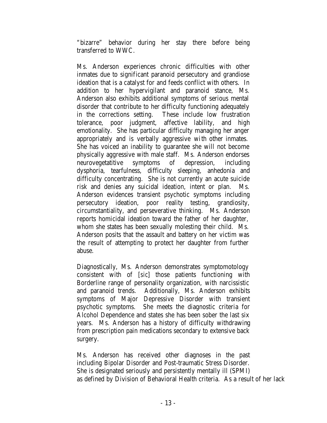"bizarre" behavior during her stay there before being transferred to WWC.

Ms. Anderson experiences chronic difficulties with other inmates due to significant paranoid persecutory and grandiose ideation that is a catalyst for and feeds conflict with others. In addition to her hypervigilant and paranoid stance, Ms. Anderson also exhibits additional symptoms of serious mental disorder that contribute to her difficulty functioning adequately in the corrections setting. These include low frustration tolerance, poor judgment, affective lability, and high emotionality. She has particular difficulty managing her anger appropriately and is verbally aggressive with other inmates. She has voiced an inability to guarantee she will not become physically aggressive with male staff. Ms. Anderson endorses neurovegetatitive symptoms of depression, including dysphoria, tearfulness, difficulty sleeping, anhedonia and difficulty concentrating. She is not currently an acute suicide risk and denies any suicidal ideation, intent or plan. Ms. Anderson evidences transient psychotic symptoms including persecutory ideation, poor reality testing, grandiosity, circumstantiality, and perseverative thinking. Ms. Anderson reports homicidal ideation toward the father of her daughter, whom she states has been sexually molesting their child. Ms. Anderson posits that the assault and battery on her victim was the result of attempting to protect her daughter from further abuse.

Diagnostically, Ms. Anderson demonstrates symptomotology consistent with of [*sic*] those patients functioning with Borderline range of personality organization, with narcissistic and paranoid trends. Additionally, Ms. Anderson exhibits symptoms of Major Depressive Disorder with transient psychotic symptoms. She meets the diagnostic criteria for Alcohol Dependence and states she has been sober the last six years. Ms. Anderson has a history of difficulty withdrawing from prescription pain medications secondary to extensive back surgery.

Ms. Anderson has received other diagnoses in the past including Bipolar Disorder and Post-traumatic Stress Disorder. She is designated seriously and persistently mentally ill (SPMI) as defined by Division of Behavioral Health criteria. As a result of her lack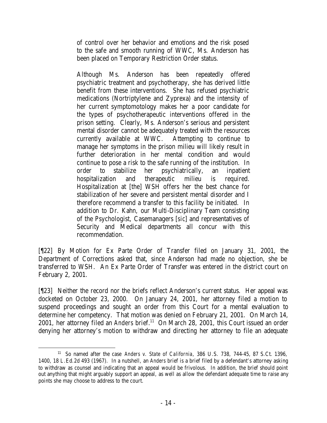of control over her behavior and emotions and the risk posed to the safe and smooth running of WWC, Ms. Anderson has been placed on Temporary Restriction Order status.

Although Ms. Anderson has been repeatedly offered psychiatric treatment and psychotherapy, she has derived little benefit from these interventions. She has refused psychiatric medications (Nortriptylene and Zyprexa) and the intensity of her current symptomotology makes her a poor candidate for the types of psychotherapeutic interventions offered in the prison setting. Clearly, Ms. Anderson's serious and persistent mental disorder cannot be adequately treated with the resources currently available at WWC. Attempting to continue to manage her symptoms in the prison milieu will likely result in further deterioration in her mental condition and would continue to pose a risk to the safe running of the institution. In order to stabilize her psychiatrically, an inpatient hospitalization and therapeutic milieu is required. Hospitalization at [the] WSH offers her the best chance for stabilization of her severe and persistent mental disorder and I therefore recommend a transfer to this facility be initiated. In addition to Dr. Kahn, our Multi-Disciplinary Team consisting of the Psychologist, Casemanagers [*sic*] and representatives of Security and Medical departments all concur with this recommendation.

[¶22] By Motion for Ex Parte Order of Transfer filed on January 31, 2001, the Department of Corrections asked that, since Anderson had made no objection, she be transferred to WSH. An Ex Parte Order of Transfer was entered in the district court on February 2, 2001.

[¶23] Neither the record nor the briefs reflect Anderson's current status. Her appeal was docketed on October 23, 2000. On January 24, 2001, her attorney filed a motion to suspend proceedings and sought an order from this Court for a mental evaluation to determine her competency. That motion was denied on February 21, 2001. On March 14, 2001, her attorney filed an *Anders* brief.<sup>11</sup> On March 28, 2001, this Court issued an order denying her attorney's motion to withdraw and directing her attorney to file an adequate

 <sup>11</sup> So named after the case *Anders v. State of California*, 386 U.S. 738, 744-45, 87 S.Ct. 1396, 1400, 18 L.Ed.2d 493 (1967). In a nutshell, an *Anders* brief is a brief filed by a defendant's attorney asking to withdraw as counsel and indicating that an appeal would be frivolous. In addition, the brief should point out anything that might arguably support an appeal, as well as allow the defendant adequate time to raise any points she may choose to address to the court.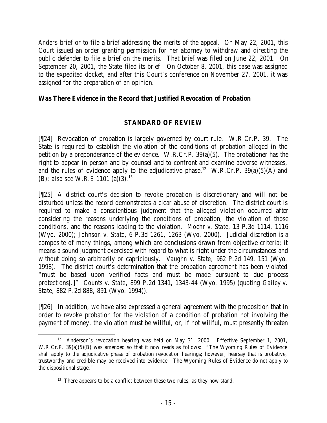*Anders* brief or to file a brief addressing the merits of the appeal. On May 22, 2001, this Court issued an order granting permission for her attorney to withdraw and directing the public defender to file a brief on the merits. That brief was filed on June 22, 2001. On September 20, 2001, the State filed its brief. On October 8, 2001, this case was assigned to the expedited docket, and after this Court's conference on November 27, 2001, it was assigned for the preparation of an opinion.

### **Was There Evidence in the Record that Justified Revocation of Probation**

## **STANDARD OF REVIEW**

[¶24] Revocation of probation is largely governed by court rule. W.R.Cr.P. 39. The State is required to establish the violation of the conditions of probation alleged in the petition by a preponderance of the evidence. W.R.Cr.P. 39(a)(5). The probationer has the right to appear in person and by counsel and to confront and examine adverse witnesses, and the rules of evidence apply to the adjudicative phase.<sup>12</sup> W.R.Cr.P. 39(a)(5)(A) and (B); *also see* W.R.E 1101 (a)(3).<sup>13</sup>

[¶25] A district court's decision to revoke probation is discretionary and will not be disturbed unless the record demonstrates a clear abuse of discretion. The district court is required to make a conscientious judgment that the alleged violation occurred after considering the reasons underlying the conditions of probation, the violation of those conditions, and the reasons leading to the violation. *Moehr v. State*, 13 P.3d 1114, 1116 (Wyo. 2000); *Johnson v. State*, 6 P.3d 1261, 1263 (Wyo. 2000). Judicial discretion is a composite of many things, among which are conclusions drawn from objective criteria; it means a sound judgment exercised with regard to what is right under the circumstances and without doing so arbitrarily or capriciously. *Vaughn v. State*, 962 P.2d 149, 151 (Wyo. 1998). The district court's determination that the probation agreement has been violated "must be based upon verified facts and must be made pursuant to due process protections[.]" *Counts v. State*, 899 P.2d 1341, 1343-44 (Wyo. 1995) (quoting *Gailey v. State*, 882 P.2d 888, 891 (Wyo. 1994)).

[¶26] In addition, we have also expressed a general agreement with the proposition that in order to revoke probation for the violation of a condition of probation not involving the payment of money, the violation must be willful, or, if not willful, must presently threaten

<sup>&</sup>lt;sup>12</sup> Anderson's revocation hearing was held on May 31, 2000. Effective September 1, 2001, W.R.Cr.P. 39(a)(5)(B) was amended so that it now reads as follows: "The Wyoming Rules of Evidence shall apply to the adjudicative phase of probation revocation hearings; however, hearsay that is probative, trustworthy and credible may be received into evidence. The Wyoming Rules of Evidence do not apply to the dispositional stage."

 $13$  There appears to be a conflict between these two rules, as they now stand.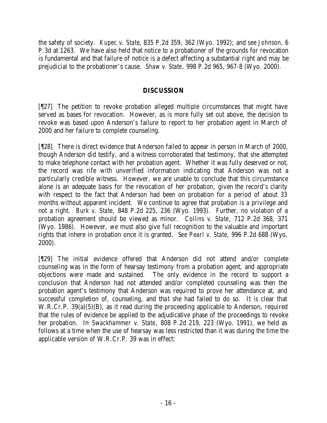the safety of society. *Kupec v. State*, 835 P.2d 359, 362 (Wyo. 1992); and *see Johnson,* 6 P.3d at 1263. We have also held that notice to a probationer of the grounds for revocation is fundamental and that failure of notice is a defect affecting a substantial right and may be prejudicial to the probationer's cause. *Shaw v. State*, 998 P.2d 965, 967-8 (Wyo. 2000).

## **DISCUSSION**

[¶27] The petition to revoke probation alleged multiple circumstances that might have served as bases for revocation. However, as is more fully set out above, the decision to revoke was based upon Anderson's failure to report to her probation agent in March of 2000 and her failure to complete counseling.

[¶28] There is direct evidence that Anderson failed to appear in person in March of 2000, though Anderson did testify, and a witness corroborated that testimony, that she attempted to make telephone contact with her probation agent. Whether it was fully deserved or not, the record was rife with unverified information indicating that Anderson was not a particularly credible witness. However, we are unable to conclude that this circumstance alone is an adequate basis for the revocation of her probation, given the record's clarity with respect to the fact that Anderson had been on probation for a period of about 33 months without apparent incident. We continue to agree that probation is a privilege and not a right. *Burk v. State*, 848 P.2d 225, 236 (Wyo. 1993). Further, no violation of a probation agreement should be viewed as minor. *Collins v. State*, 712 P.2d 368, 371 (Wyo. 1986). However, we must also give full recognition to the valuable and important rights that inhere in probation once it is granted. *See Pearl v. State*, 996 P.2d 688 (Wyo. 2000).

[¶29] The initial evidence offered that Anderson did not attend and/or complete counseling was in the form of hearsay testimony from a probation agent, and appropriate objections were made and sustained. The only evidence in the record to support a conclusion that Anderson had not attended and/or completed counseling was then the probation agent's testimony that Anderson was required to prove her attendance at, and successful completion of, counseling, and that she had failed to do so. It is clear that W.R.Cr.P. 39(a)(5)(B), as it read during the proceeding applicable to Anderson, required that the rules of evidence be applied to the adjudicative phase of the proceedings to revoke her probation. In *Swackhammer v. State*, 808 P.2d 219, 223 (Wyo. 1991), we held as follows at a time when the use of hearsay was less restricted than it was during the time the applicable version of W.R.Cr.P. 39 was in effect: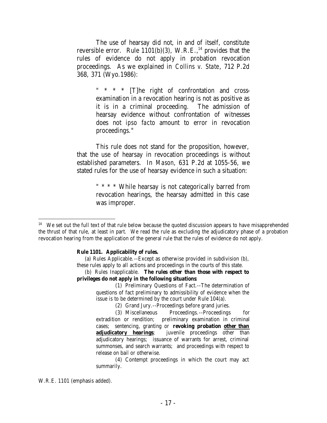The use of hearsay did not, in and of itself, constitute reversible error. Rule  $1101(b)(3)$ , W.R.E.,<sup>14</sup> provides that the rules of evidence do not apply in probation revocation proceedings. As we explained in *Collins v. State*, 712 P.2d 368, 371 (Wyo.1986):

> " \* \* \* [T]he right of confrontation and crossexamination in a revocation hearing is not as positive as it is in a criminal proceeding. The admission of hearsay evidence without confrontation of witnesses does not *ipso facto* amount to error in revocation proceedings."

This rule does not stand for the proposition, however, that the use of hearsay in revocation proceedings is without established parameters. In *Mason*, 631 P.2d at 1055-56, we stated rules for the use of hearsay evidence in such a situation:

> " \* \* \* While hearsay is not categorically barred from revocation hearings, the hearsay admitted in this case was improper.

#### **Rule 1101. Applicability of rules.**

 (a) Rules Applicable.--Except as otherwise provided in subdivision (b), these rules apply to all actions and proceedings in the courts of this state.

 (b) Rules Inapplicable. **The rules other than those with respect to privileges do not apply in the following situations**:

> (1) Preliminary Questions of Fact.--The determination of questions of fact preliminary to admissibility of evidence when the issue is to be determined by the court under Rule 104(a).

(2) Grand Jury.--Proceedings before grand juries.

(3) Miscellaneous Proceedings.--Proceedings for extradition or rendition; preliminary examination in criminal cases; sentencing, granting or **revoking probation other than**  adjudicatory hearings; juvenile proceedings other than adjudicatory hearings; issuance of warrants for arrest, criminal summonses, and search warrants; and proceedings with respect to release on bail or otherwise.

(4) Contempt proceedings in which the court may act summarily.

W.R.E. 1101 (emphasis added).

<sup>&</sup>lt;sup>14</sup> We set out the full text of that rule below because the quoted discussion appears to have misapprehended the thrust of that rule, at least in part. We read the rule as excluding the adjudicatory phase of a probation revocation hearing from the application of the general rule that the rules of evidence do not apply.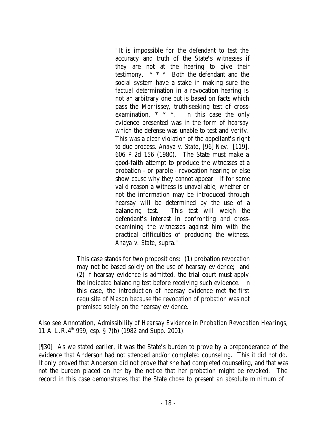"It is impossible for the defendant to test the accuracy and truth of the State's witnesses if they are not at the hearing to give their testimony. \* \* \* Both the defendant and the social system have a stake in making sure the factual determination in a revocation hearing is not an arbitrary one but is based on facts which pass the *Morrissey*, truth-seeking test of crossexamination, \* \* \*. In this case the only evidence presented was in the form of hearsay which the defense was unable to test and verify. This was a clear violation of the appellant's right to due process. *Anaya v. State*, [96] Nev. [119], 606 P.2d 156 (1980). The State must make a good-faith attempt to produce the witnesses at a probation - or parole - revocation hearing or else show cause why they cannot appear. If for some valid reason a witness is unavailable, whether or not the information may be introduced through hearsay will be determined by the use of a balancing test. This test will weigh the defendant's interest in confronting and crossexamining the witnesses against him with the practical difficulties of producing the witness. *Anaya v. State*, supra."

This case stands for two propositions: (1) probation revocation may not be based solely on the use of hearsay evidence; and (2) if hearsay evidence is admitted, the trial court must apply the indicated balancing test before receiving such evidence. In this case, the introduction of hearsay evidence met the first requisite of *Mason* because the revocation of probation was not premised solely on the hearsay evidence.

*Also see* Annotation, *Admissibility of Hearsay Evidence in Probation Revocation Hearings,* 11 A.L.R. $4<sup>th</sup>$  999, esp. § 7(b) (1982 and Supp. 2001).

[¶30] As we stated earlier, it was the State's burden to prove by a preponderance of the evidence that Anderson had not attended and/or completed counseling. This it did not do. It only proved that Anderson did not prove that she had completed counseling, and that was not the burden placed on her by the notice that her probation might be revoked. The record in this case demonstrates that the State chose to present an absolute minimum of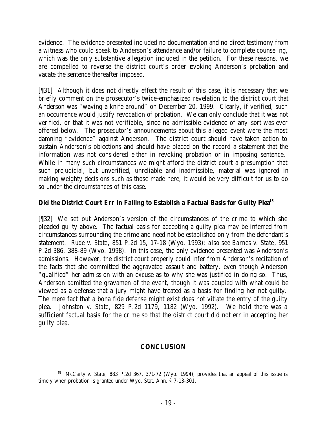evidence. The evidence presented included no documentation and no direct testimony from a witness who could speak to Anderson's attendance and/or failure to complete counseling, which was the only substantive allegation included in the petition. For these reasons, we are compelled to reverse the district court's order revoking Anderson's probation and vacate the sentence thereafter imposed.

[¶31] Although it does not directly effect the result of this case, it is necessary that we briefly comment on the prosecutor's twice-emphasized revelation to the district court that Anderson was "waving a knife around" on December 20, 1999. Clearly, if verified, such an occurrence would justify revocation of probation. We can only conclude that it was not verified, or that it was not verifiable, since no admissible evidence of any sort was ever offered below. The prosecutor's announcements about this alleged event were the most damning "evidence" against Anderson. The district court should have taken action to sustain Anderson's objections and should have placed on the record a statement that the information was not considered either in revoking probation or in imposing sentence. While in many such circumstances we might afford the district court a presumption that such prejudicial, but unverified, unreliable and inadmissible, material was ignored in making weighty decisions such as those made here, it would be very difficult for us to do so under the circumstances of this case.

# **Did the District Court Err in Failing to Establish a Factual Basis for Guilty Plea<sup>15</sup>**

[¶32] We set out Anderson's version of the circumstances of the crime to which she pleaded guilty above. The factual basis for accepting a guilty plea may be inferred from circumstances surrounding the crime and need not be established only from the defendant's statement. *Rude v. State*, 851 P.2d 15, 17-18 (Wyo. 1993); *also see Barnes v. State*, 951 P.2d 386, 388-89 (Wyo. 1998). In this case, the only evidence presented was Anderson's admissions. However, the district court properly could infer from Anderson's recitation of the facts that she committed the aggravated assault and battery, even though Anderson "qualified" her admission with an excuse as to why she was justified in doing so. Thus, Anderson admitted the gravamen of the event, though it was coupled with what could be viewed as a defense that a jury might have treated as a basis for finding her not guilty. The mere fact that a bona fide defense might exist does not vitiate the entry of the guilty plea. *Johnston v. State*, 829 P.2d 1179, 1182 (Wyo. 1992). We hold there was a sufficient factual basis for the crime so that the district court did not err in accepting her guilty plea.

## **CONCLUSION**

 15 *McCarty v. State*, 883 P.2d 367, 371-72 (Wyo. 1994), provides that an appeal of this issue is timely when probation is granted under Wyo. Stat. Ann. § 7-13-301.